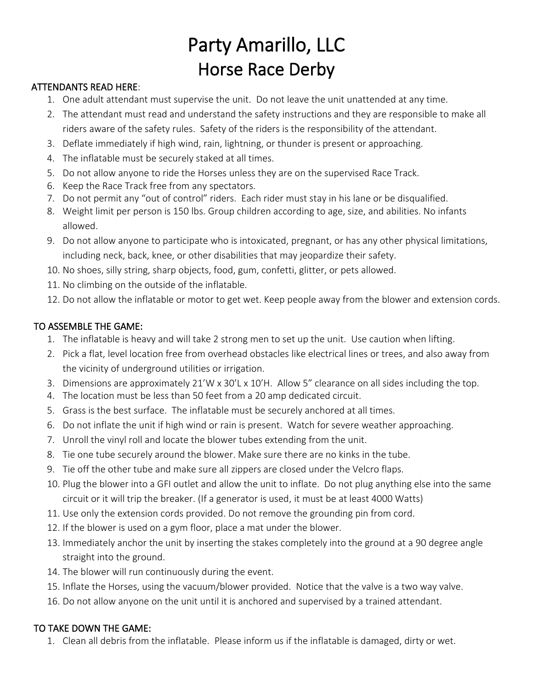## Party Amarillo, LLC Horse Race Derby

## ATTENDANTS READ HERE:

- 1. One adult attendant must supervise the unit. Do not leave the unit unattended at any time.
- 2. The attendant must read and understand the safety instructions and they are responsible to make all riders aware of the safety rules. Safety of the riders is the responsibility of the attendant.
- 3. Deflate immediately if high wind, rain, lightning, or thunder is present or approaching.
- 4. The inflatable must be securely staked at all times.
- 5. Do not allow anyone to ride the Horses unless they are on the supervised Race Track.
- 6. Keep the Race Track free from any spectators.
- 7. Do not permit any "out of control" riders. Each rider must stay in his lane or be disqualified.
- 8. Weight limit per person is 150 lbs. Group children according to age, size, and abilities. No infants allowed.
- 9. Do not allow anyone to participate who is intoxicated, pregnant, or has any other physical limitations, including neck, back, knee, or other disabilities that may jeopardize their safety.
- 10. No shoes, silly string, sharp objects, food, gum, confetti, glitter, or pets allowed.
- 11. No climbing on the outside of the inflatable.
- 12. Do not allow the inflatable or motor to get wet. Keep people away from the blower and extension cords.

## TO ASSEMBLE THE GAME:

- 1. The inflatable is heavy and will take 2 strong men to set up the unit. Use caution when lifting.
- 2. Pick a flat, level location free from overhead obstacles like electrical lines or trees, and also away from the vicinity of underground utilities or irrigation.
- 3. Dimensions are approximately 21'W x 30'L x 10'H. Allow 5" clearance on all sides including the top.
- 4. The location must be less than 50 feet from a 20 amp dedicated circuit.
- 5. Grass is the best surface. The inflatable must be securely anchored at all times.
- 6. Do not inflate the unit if high wind or rain is present. Watch for severe weather approaching.
- 7. Unroll the vinyl roll and locate the blower tubes extending from the unit.
- 8. Tie one tube securely around the blower. Make sure there are no kinks in the tube.
- 9. Tie off the other tube and make sure all zippers are closed under the Velcro flaps.
- 10. Plug the blower into a GFI outlet and allow the unit to inflate. Do not plug anything else into the same circuit or it will trip the breaker. (If a generator is used, it must be at least 4000 Watts)
- 11. Use only the extension cords provided. Do not remove the grounding pin from cord.
- 12. If the blower is used on a gym floor, place a mat under the blower.
- 13. Immediately anchor the unit by inserting the stakes completely into the ground at a 90 degree angle straight into the ground.
- 14. The blower will run continuously during the event.
- 15. Inflate the Horses, using the vacuum/blower provided. Notice that the valve is a two way valve.
- 16. Do not allow anyone on the unit until it is anchored and supervised by a trained attendant.

## TO TAKE DOWN THE GAME:

1. Clean all debris from the inflatable. Please inform us if the inflatable is damaged, dirty or wet.